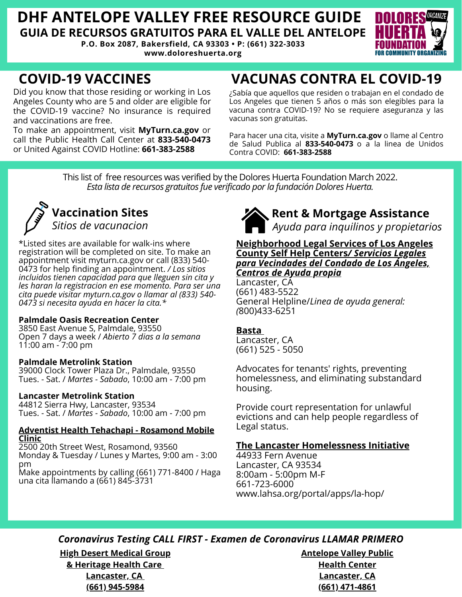# **DHF ANTELOPE VALLEY FREE RESOURCE GUIDE GUIA DE RECURSOS GRATUITOS PARA EL VALLE DEL ANTELOPE**

**P.O. Box 2087, Bakersfield, CA 93303 • P: (661) 322-3033 www.doloreshuerta.org**



# **COVID-19 VACCINES**

Did you know that those residing or working in Los Angeles County who are 5 and older are eligible for the COVID-19 vaccine? No insurance is required and vaccinations are free.

To make an appointment, visit **MyTurn.ca.gov** or call the Public Health Call Center at **833-540-0473** or United Against COVID Hotline: **661-383-2588**

# **VACUNAS CONTRA EL COVID-19**

¿Sabía que aquellos que residen o trabajan en el condado de Los Angeles que tienen 5 años o más son elegibles para la vacuna contra COVID-19? No se requiere aseguranza y las vacunas son gratuitas.

Para hacer una cita, visite a **MyTurn.ca.gov** o llame al Centro de Salud Publica al **833-540-0473** o a la linea de Unidos Contra COVID: **661-383-2588**

This list of free resources was verified by the Dolores Huerta Foundation March 2022. *Esta lista de recursos gratuitos fue verificado porla fundación Dolores Huerta.*



# **Vaccination Sites** *Sitios de vacunacion*

\*Listed sites are available for walk-ins where registration will be completed on site. To make an appointment visit myturn.ca.gov or call (833) 540- 0473 for help finding an appointment. */ Los sitios incluidos tienen capacidad para que lleguen sin cita y les haran la registracion en ese momento. Para ser una cita puede visitar myturn.ca.gov o llamar al (833) 540- 0473 si necesita ayuda en hacer la cita.\**

### **Palmdale Oasis Recreation Center**

3850 East Avenue S, Palmdale, 93550 Open 7 days a week / *Abierto 7 dias a la semana* 11:00 am - 7:00 pm

### **Palmdale Metrolink Station**

39000 Clock Tower Plaza Dr., Palmdale, 93550 Tues. - Sat. / *Martes - Sabado*, 10:00 am - 7:00 pm

### **Lancaster Metrolink Station**

44812 Sierra Hwy, Lancaster, 93534 Tues. - Sat. / *Martes - Sabado*, 10:00 am - 7:00 pm

### **Adventist Health Tehachapi - Rosamond Mobile Clinic**

2500 20th Street West, Rosamond, 93560 Monday & Tuesday / Lunes y Martes, 9:00 am - 3:00 pm

Make appointments by calling (661) 771-8400 / Haga una cita llamando a (661) 845-3731



**Rent & Mortgage Assistance**

*Ayuda para inquilinos y propietarios*

### **Neighborhood Legal Services of Los Angeles County Self Help Centers***/ Servicios Legales para Vecindades del Condado de Los Ángeles, Centros de Ayuda propia*

Lancaster, CA (661) 483-5522 General Helpline/*Linea de ayuda general: (*800)433-6251

## **Basta**

Lancaster, CA (661) 525 - 5050

Advocates for tenants' rights, preventing homelessness, and eliminating substandard housing.

Provide court representation for unlawful evictions and can help people regardless of Legal status.

## **The Lancaster Homelessness Initiative**

44933 Fern Avenue Lancaster, CA 93534 8:00am - 5:00pm M-F 661-723-6000 www.lahsa.org/portal/apps/la-hop/

# *Coronavirus Testing CALL FIRST - Examen de Coronavirus LLAMAR PRIMERO*

**High Desert Medical Group & Heritage Health Care Lancaster, CA (661) 945-5984**

**Antelope Valley Public Health Center Lancaster, CA (661) 471-4861**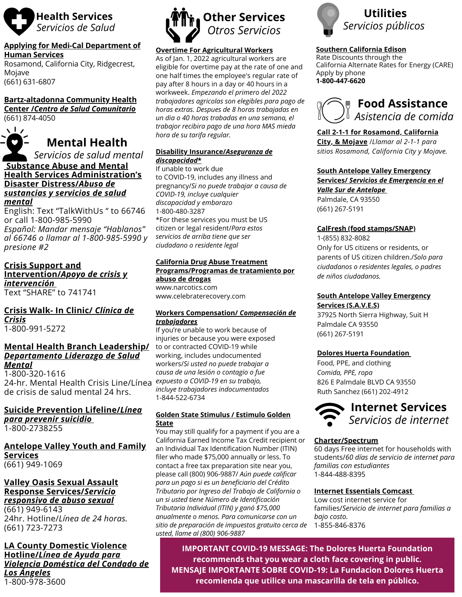

#### **Applying for Medi-Cal Department of Human Services**

Rosamond, California City, Ridgecrest, Mojave (661) 631-6807

## **Bartz-altadonna Community Health**

**Center /***Centro de Salud Comunitario* (661) 874-4050



### **Substance Abuse and Mental Health Services Administration's Disaster Distress/***Abuso de sustancias y servicios de salud*

#### *mental*

English: Text "TalkWithUs " to 66746 or call 1-800-985-5990 *Español: Mandar mensaje "Hablanos" al 66746 o llamar al 1-800-985-5990 y presione #2*

### **Crisis Support and Intervention/***Apoyo de crisis y intervención* Text "SHARE" to 741741

#### **Crisis Walk- In Clinic/** *Clínica de Crisis* 1-800-991-5272

### **Mental Health Branch Leadership/** *Departamento Liderazgo de Salud Mental*

1-800-320-1616 24-hr. Mental Health Crisis Line/Línea de crisis de salud mental 24 hrs.

### **Suicide Prevention Lifeline/***Línea para prevenir suicidio*

1-800-2738255

### **Antelope Valley Youth and Family Services** (661) 949-1069

### **Valley Oasis Sexual Assault Response Services/***Servicio responsivo de abuso sexual*

(661) 949-6143 24hr. Hotline/*Línea de 24 horas.* (661) 723-7273

### **LA County Domestic Violence Hotline/***Línea de Ayuda para Violencia Doméstica del Condado de Los Ángeles* 1-800-978-3600



# **Overtime For Agricultural Workers**

As of Jan. 1, 2022 agricultural workers are eligible for overtime pay at the rate of one and one half times the employee's regular rate of pay after 8 hours in a day or 40 hours in a workweek. *Empezando el primero del 2022 trabajadores agricolas son elegibles para pago de horas extras. Despues de 8 horas trabajadas en un dia o 40 horas trabadas en una semana, el trabajor recibira pago de una hora MAS mieda hora de su tarifa regular.*

### **Disability Insurance/***Aseguranza de discapacidad***\***

If unable to work due to COVID-19, includes any illness and pregnancy/*Si no puede trabajar a causa de COVID-19, incluye cualquier discapacidad y embarazo* 1-800-480-3287 \*For these services you must be US citizen or legal resident/*Para estos servicios de arriba tiene que ser ciudadano o residente legal*

### **California Drug Abuse Treatment Programs/Programas de tratamiento por abuso de drogas**

www.narcotics.com www.celebraterecovery.com

### **Workers Compensation/** *Compensación de trabajadores*

If you're unable to work because of injuries or because you were exposed to or contracted COVID-19 while working, includes undocumented workers/*Si usted no puede trabajar a causa de una lesión o contagio o fue expuesto a COVID-19 en su trabajo, incluye trabajadores indocumentados* 1-844-522-6734

### **Golden State Stimulus / Estimulo Golden State**

You may still qualify for a payment if you are a California Earned Income Tax Credit recipient or an Individual Tax Identification Number (ITIN) filer who made \$75,000 annually or less. To contact a free tax preparation site near you, please call (800) 906-9887/ *Aún puede calificar para un pago si es un beneficiario del Crédito Tributario por Ingreso del Trabajo de California o un si usted tiene Número de Identificación Tributaria Individual (ITIN) y ganó \$75,000 anualmente o menos. Para comunicarse con un sitio de preparación de impuestos gratuito cerca de usted, llame al (800) 906-9887*



### **Southern California Edison**

Rate Discounts through the California Alternate Rates for Energy (CARE) Apply by phone **1-800-447-6620**



## **Call 2-1-1 for Rosamond, California**

**City, & Mojave** /*Llamar al 2-1-1 para sitios Rosamond, California City y Mojave.*

**South Antelope Valley Emergency Services/** *Servicios de Emergencia en el*

### *Valle Sur de Antelope* Palmdale, CA 93550

(661) 267-5191

### **CalFresh (food stamps/SNAP)**

1-(855) 832-8082 Only for US citizens or residents, or parents of US citizen children./*Solo para ciudadanos o residentes legales, o padres de niños ciudadanos.*

### **South Antelope Valley Emergency Services (S.A.V.E.S)**

37925 North Sierra Highway, Suit H Palmdale CA 93550 (661) 267-5191

### **Dolores Huerta Foundation**

Food, PPE, and clothing *Comida, PPE, ropa* 826 E Palmdale BLVD CA 93550 Ruth Sanchez (661) 202-4912



### **Charter/Spectrum**

60 days Free internet for households with students/*60 días de servicio de internet para familias con estudiantes* 1-844-488-8395

### **Internet Essentials Comcast**

Low cost internet service for families/*Servicio de internet para familias a bajo costo.* 1-855-846-8376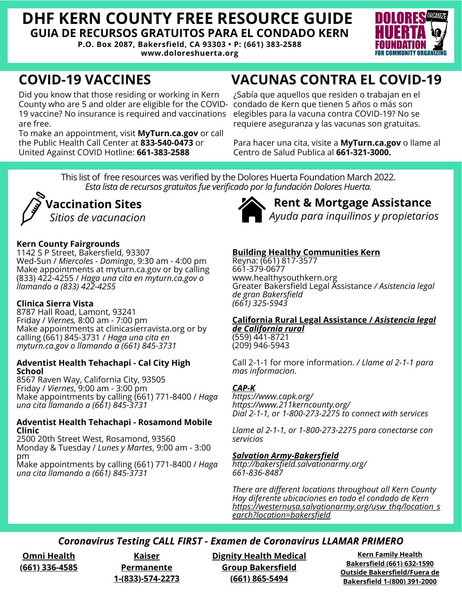# **DHF KERN COUNTY FREE RESOURCE GUIDE GUIA DE RECURSOS GRATUITOS PARA EL CONDADO KERN**

**P.O. Box 2087, Bakersfield, CA 93303 • P: (661) 383-2588 www.doloreshuerta.org**



Did you know that those residing or working in Kern County who are 5 and older are eligible for the COVID-19 vaccine? No insurance is required and vaccinations are free.

To make an appointment, visit **MyTurn.ca.gov** or call the Public Health Call Center at **833-540-0473** or United Against COVID Hotline: **661-383-2588**

# **COVID-19 VACCINES VACUNAS CONTRA EL COVID-19**

¿Sabía que aquellos que residen o trabajan en el condado de Kern que tienen 5 años o más son elegibles para la vacuna contra COVID-19? No se requiere aseguranza y las vacunas son gratuitas.

Para hacer una cita, visite a **MyTurn.ca.gov** o llame al Centro de Salud Publica al **661-321-3000.**

This list of free resources was verified by the Dolores Huerta Foundation March 2022. *Esta lista de recursos gratuitos fue verificado porla fundación Dolores Huerta.*



### **Kern County Fairgrounds**

1142 S P Street, Bakersfield, 93307 Wed-Sun / *Miercoles - Domingo*, 9:30 am - 4:00 pm Make appointments at myturn.ca.gov or by calling (833) 422-4255 / *Haga una cita en myturn.ca.gov o llamando a (833) 422-4255*

### **Clinica Sierra Vista**

8787 Hall Road, Lamont, 93241 Friday / *Viernes,* 8:00 am - 7:00 pm Make appointments at clinicasierravista.org or by calling (661) 845-3731 / *Haga una cita en myturn.ca.gov o llamando a (661) 845-3731*

### **Adventist Health Tehachapi - Cal City High School**

8567 Raven Way, California City, 93505 Friday / *Viernes*, 9:00 am - 3:00 pm Make appointments by calling (661) 771-8400 / *Haga una cita llamando a (661) 845-3731*

### **Adventist Health Tehachapi - Rosamond Mobile Clinic**

2500 20th Street West, Rosamond, 93560 Monday & Tuesday / *Lunes y Martes*, 9:00 am - 3:00 pm

Make appointments by calling (661) 771-8400 / *Haga una cita llamando a (661) 845-3731*



**Rent & Mortgage Assistance**

# *Ayuda para inquilinos y propietarios*

# **Building Healthy Communities Kern**

Reyna: (661) 817-3577 661-379-0677 www.healthysouthkern.org Greater Bakersfield Legal Assistance */ Asistencia legal de gran Bakersfield (661) 325-5943*

### **California Rural Legal Assistance /** *Asistencia legal de California rural*

(559) 441-8721 (209) 946-5943

Call 2-1-1 for more information. */ Llame al 2-1-1 para mas informacion.*

### *CAP-K*

*https://www.capk.org/ https://www.211kerncounty.org/ Dial 2-1-1, or 1-800-273-2275 to connect with services*

*Llame al 2-1-1, or 1-800-273-2275 para conectarse con servicios*

### *Salvation Army-Bakersfield*

*http://bakersfield.salvationarmy.org/ 661-836-8487*

*There are different locations throughout all Kern County Hay diferente ubicaciones en todo el condado de Kern https://westernusa.salvationarmy.org/usw\_thq/location\_s earch?location=bakersfield*

# *Coronavirus Testing CALL FIRST - Examen de Coronavirus LLAMAR PRIMERO*

**Omni Health (661) 336-4585**

**Kaiser Permanente 1-(833)-574-2273**

**Dignity Health Medical Group Bakersfield (661) 865-5494**

**Kern Family Health Bakersfield (661) 632-1590 Outside Bakersfield/Fuera de Bakersfield 1-(800) 391-2000**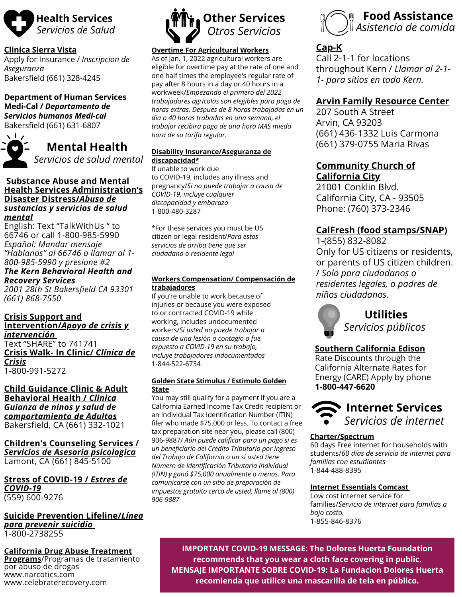

### **Clinica Sierra Vista**

Apply for Insurance / *Inscripcion de Aseguranza* Bakersfield (661) 328-4245

**Department of Human Services Medi-Cal /** *Departamento de Servicios humanos Medi-cal* Bakersfield (661) 631-6807



**Mental Health**

*Servicios de salud mental*

### **Substance Abuse and Mental Health Services Administration's Disaster Distress/***Abuso de sustancias y servicios de salud mental*

English: Text "TalkWithUs " to 66746 or call 1-800-985-5990 *Español: Mandar mensaje "Hablanos" al 66746 o llamar al 1- 800-985-5990 y presione #2*

### *The Kern Behavioral Health and Recovery Services*

*2001 28th St Bakersfield CA 93301 (661) 868-7550*

**Crisis Support and Intervention/***Apoyo de crisis y intervención* Text "SHARE" to 741741 **Crisis Walk- In Clinic/** *Clínica de Crisis* 1-800-991-5272

**Child Guidance Clinic & Adult Behavioral Health /** *Clinica Guianza de ninos y salud de comportamiento de Adultos* Bakersfield, CA (661) 332-1021

**Children's Counseling Services /** *Servicios de Asesoria psicologica* Lamont, CA (661) 845-5100

**Stress of COVID-19 /** *Estres de COVID-19* (559) 600-9276

### **Suicide Prevention Lifeline/***Línea para prevenir suicidio* 1-800-2738255

**California Drug Abuse Treatment**

**Programs**/Programas de tratamiento por abuso de drogas www.narcotics.com www.celebraterecovery.com



### **Overtime For Agricultural Workers**

As of Jan. 1, 2022 agricultural workers are eligible for overtime pay at the rate of one and one half times the employee's regular rate of pay after 8 hours in a day or 40 hours in a workweek/*Empezando el primero del 2022 trabajadores agricolas son elegibles para pago de horas extras. Despues de 8 horas trabajadas en un dia o 40 horas trabadas en una semana, el trabajor recibira pago de una hora MAS mieda hora de su tarifa regular.*

### **Disability Insurance/Aseguranza de discapacidad\***

If unable to work due to COVID-19, includes any illness and pregnancy/*Si no puede trabajar a causa de COVID-19, incluye cualquier discapacidad y embarazo* 1-800-480-3287

\*For these services you must be US citizen or legal resident/*Para estos servicios de arriba tiene que ser ciudadano o residente legal*

### **Workers Compensation/ Compensación de trabajadores**

If you're unable to work because of injuries or because you were exposed to or contracted COVID-19 while working, includes undocumented workers/*Si usted no puede trabajar a causa de una lesión o contagio o fue expuesto a COVID-19 en su trabajo, incluye trabajadores indocumentados* 1-844-522-6734

#### **Golden State Stimulus / Estimulo Golden State**

You may still qualify for a payment if you are a California Earned Income Tax Credit recipient or an Individual Tax Identification Number (ITIN) filer who made \$75,000 or less. To contact a free tax preparation site near you, please call (800) 906-9887/ *Aún puede calificar para un pago si es un beneficiario del Crédito Tributario por Ingreso del Trabajo de California o un si usted tiene Número de Identificación Tributaria Individual (ITIN) y ganó \$75,000 anualmente o menos. Para comunicarse con un sitio de preparación de impuestos gratuito cerca de usted, llame al (800) 906-9887*



## **Cap-K**

Call 2-1-1 for locations throughout Kern / *Llamar al 2-1- 1- para sitios en todo Kern.*

## **Arvin Family Resource Center**

207 South A Street Arvin, CA 93203 (661) 436-1332 Luis Carmona (661) 379-0755 Maria Rivas

### **Community Church of California City**

21001 Conklin Blvd. California City, CA - 93505 Phone: (760) 373-2346

# **CalFresh (food stamps/SNAP)**

1-(855) 832-8082 Only for US citizens or residents, or parents of US citizen children. / *Solo para ciudadanos o residentes legales, o padres de niños ciudadanos.*



## **Southern California Edison**

Rate Discounts through the California Alternate Rates for Energy (CARE) Apply by phone **1-800-447-6620**



### **Charter/Spectrum**

60 days Free internet for households with students/*60 días de servicio de internet para familias con estudiantes* 1-844-488-8395

### **Internet Essentials Comcast**

Low cost internet service for families/*Servicio de internet para familias a bajo costo.* 1-855-846-8376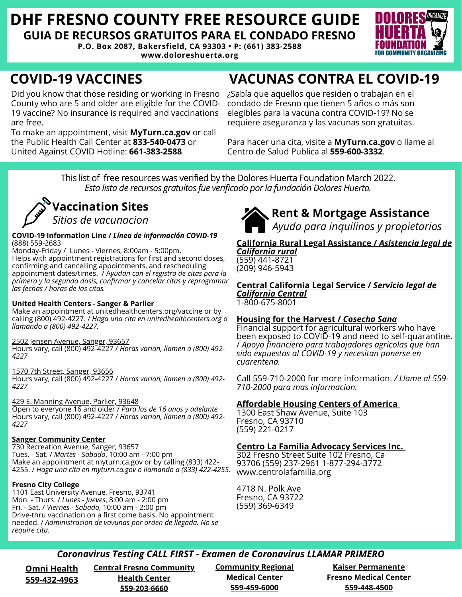# **DHF FRESNO COUNTY FREE RESOURCE GUIDE GUIA DE RECURSOS GRATUITOS PARA EL CONDADO FRESNO**

**P.O. Box 2087, Bakersfield, CA 93303 • P: (661) 383-2588**

**www.doloreshuerta.org**



# **COVID-19 VACCINES**

Did you know that those residing or working in Fresno County who are 5 and older are eligible for the COVID-19 vaccine? No insurance is required and vaccinations are free.

To make an appointment, visit **MyTurn.ca.gov** or call the Public Health Call Center at **833-540-0473** or United Against COVID Hotline: **661-383-2588**

# **VACUNAS CONTRA EL COVID-19**

¿Sabía que aquellos que residen o trabajan en el condado de Fresno que tienen 5 años o más son elegibles para la vacuna contra COVID-19? No se requiere aseguranza y las vacunas son gratuitas.

Para hacer una cita, visite a **MyTurn.ca.gov** o llame al Centro de Salud Publica al **559-600-3332**.

This list of free resources was verified by the Dolores Huerta Foundation March 2022. *Esta lista de recursos gratuitos fue verificado porla fundación Dolores Huerta.*



#### **COVID-19 Information Line /** *Línea de información COVID-19* (888) 559-2683

Monday-Friday / Lunes - Viernes, 8:00am - 5:00pm. Helps with appointment registrations for first and second doses, confirming and cancelling appointments, and rescheduling appointment dates/times. / A*yudan con el registro de citas para la primera y la segunda dosis, confirmar y cancelar citas y reprogramar las fechas / horas de las citas.*

### **United Health Centers - Sanger & Parlier**

Make an appointment at unitedhealthcenters.org/vaccine or by calling (800) 492-4227. / *Haga una cita en unitedhealthcenters.org o llamando a (800) 492-4227.*

#### 2502 Jensen Avenue, Sanger, 93657

Hours vary, call (800) 492-4227 / *Horas varian, llamen a (800) 492- 4227*

1570 7th Street, Sanger, 93656 Hours vary, call (800) 492-4227 / *Horas varian, llamen a (800) 492- 4227*

429 E. Manning Avenue, Parlier, 93648 Open to everyone 16 and older / *Para los de 16 anos y adelante* Hours vary, call (800) 492-4227 / *Horas varian, llamen a (800) 492- 4227*

### **Sanger Community Center**

730 Recreation Avenue, Sanger, 93657 Tues. - Sat. / *Martes - Sabado*, 10:00 am - 7:00 pm Make an appointment at myturn.ca.gov or by calling (833) 422- 4255. / *Haga una cita en myturn.ca.gov o llamando a (833) 422-4255.*

### **Fresno City College**

1101 East University Avenue, Fresno, 93741 Mon. - Thurs. / *Lunes - Jueves*, 8:00 am - 2:00 pm Fri. - Sat. / *Viernes - Sabado*, 10:00 am - 2:00 pm Drive-thru vaccination on a first come basis. No appointment needed. / *Administracion de vavunas por orden de llegada. No se require cita.*



# **Rent & Mortgage Assistance**

*Ayuda para inquilinos y propietarios*

#### **California Rural Legal Assistance /** *Asistencia legal de California rural*

(559) 441-8721 (209) 946-5943

**Central California Legal Service /** *Servicio legal de California Central*

1-800-675-8001

### **Housing for the Harvest /** *Cosecha Sana*

Financial support for agricultural workers who have been exposed to COVID-19 and need to self-quarantine. / *Apoyo financiero para trabajadores agricolas que han sido expuestos al COVID-19 y necesitan ponerse en cuarentena.*

Call 559-710-2000 for more information. */ Llame al 559- 710-2000 para mas informacion.*

### **Affordable Housing Centers of America**

1300 East Shaw Avenue, Suite 103 Fresno, CA 93710 (559) 221-0217

### **Centro La Familia Advocacy Services Inc.**

302 Fresno Street Suite 102 Fresno, Ca 93706 (559) 237-2961 1-877-294-3772 www.centrolafamilia.org

4718 N. Polk Ave Fresno, CA 93722 (559) 369-6349

# *Coronavirus Testing CALL FIRST - Examen de Coronavirus LLAMAR PRIMERO*

**Omni Health 559-432-4963**

**Central Fresno Community Health Center 559-203-6660**

**Community Regional Medical Center 559-459-6000**

**Kaiser Permanente Fresno Medical Center 559-448-4500**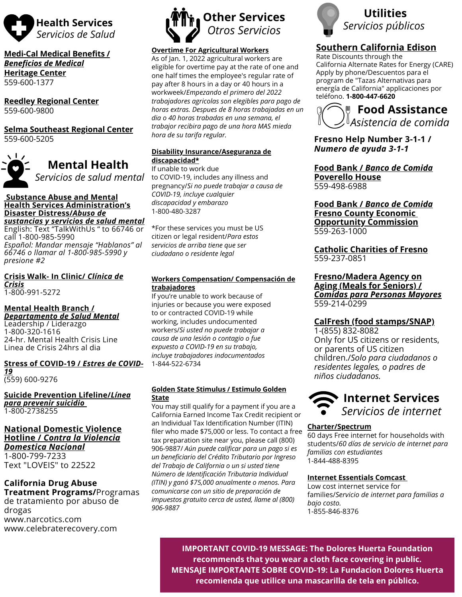

**Medi-Cal Medical Benefits /** *Beneficios de Medical* **Heritage Center** 559-600-1377

**Reedley Regional Center** 559-600-9800

**Selma Southeast Regional Center** 559-600-5205



**Mental Health** *Servicios de salud mental*

#### **Substance Abuse and Mental Health Services Administration's Disaster Distress/***Abuso de sustancias y servicios de salud mental*

English: Text "TalkWithUs " to 66746 or call 1-800-985-5990 *Español: Mandar mensaje "Hablanos" al 66746 o llamar al 1-800-985-5990 y presione #2*

**Crisis Walk- In Clinic/** *Clínica de Crisis* 1-800-991-5272

**Mental Health Branch /**

*Departamento de Salud Mental* Leadership / Liderazgo 1-800-320-1616 24-hr. Mental Health Crisis Line Linea de Crisis 24hrs al dia

#### **Stress of COVID-19 /** *Estres de COVID-19*

(559) 600-9276

**Suicide Prevention Lifeline/***Línea para prevenir suicidio* 1-800-2738255

### **National Domestic Violence Hotline /** *Contra la Violencia Domestica Nacional*

1-800-799-7233 Text "LOVEIS" to 22522

# **California Drug Abuse**

**Treatment Programs/**Programas de tratamiento por abuso de drogas www.narcotics.com www.celebraterecovery.com



### **Overtime For Agricultural Workers**

As of Jan. 1, 2022 agricultural workers are eligible for overtime pay at the rate of one and one half times the employee's regular rate of pay after 8 hours in a day or 40 hours in a workweek/*Empezando el primero del 2022 trabajadores agricolas son elegibles para pago de horas extras. Despues de 8 horas trabajadas en un dia o 40 horas trabadas en una semana, el trabajor recibira pago de una hora MAS mieda hora de su tarifa regular.*

### **Disability Insurance/Aseguranza de discapacidad\***

If unable to work due to COVID-19, includes any illness and pregnancy/*Si no puede trabajar a causa de COVID-19, incluye cualquier discapacidad y embarazo* 1-800-480-3287

\*For these services you must be US citizen or legal resident/*Para estos servicios de arriba tiene que ser ciudadano o residente legal*

### **Workers Compensation/ Compensación de trabajadores**

If you're unable to work because of injuries or because you were exposed to or contracted COVID-19 while working, includes undocumented workers/*Si usted no puede trabajar a causa de una lesión o contagio o fue expuesto a COVID-19 en su trabajo, incluye trabajadores indocumentados* 1-844-522-6734

#### **Golden State Stimulus / Estimulo Golden State**

You may still qualify for a payment if you are a California Earned Income Tax Credit recipient or an Individual Tax Identification Number (ITIN) filer who made \$75,000 or less. To contact a free tax preparation site near you, please call (800) 906-9887/ *Aún puede calificar para un pago si es un beneficiario del Crédito Tributario por Ingreso del Trabajo de California o un si usted tiene Número de Identificación Tributaria Individual (ITIN) y ganó \$75,000 anualmente o menos. Para comunicarse con un sitio de preparación de impuestos gratuito cerca de usted, llame al (800) 906-9887*



# **Southern California Edison**

Rate Discounts through the California Alternate Rates for Energy (CARE) Apply by phone/Descuentos para el program de "Tazas Alternativas para energía de California" applicaciones por teléfono. **1-800-447-6620**



**Fresno Help Number 3-1-1 /** *Numero de ayuda 3-1-1*

**Food Bank /** *Banco de Comida* **Poverello House** 559-498-6988

**Food Bank /** *Banco de Comida* **Fresno County Economic Opportunity Commission** 559-263-1000

**Catholic Charities of Fresno** 559-237-0851

**Fresno/Madera Agency on Aging (Meals for Seniors) /** *Comidas para Personas Mayores* 559-214-0299

## **CalFresh (food stamps/SNAP)**

1-(855) 832-8082 Only for US citizens or residents, or parents of US citizen children./*Solo para ciudadanos o residentes legales, o padres de niños ciudadanos.*



### **Charter/Spectrum**

60 days Free internet for households with students/*60 días de servicio de internet para familias con estudiantes* 1-844-488-8395

### **Internet Essentials Comcast**

Low cost internet service for families/*Servicio de internet para familias a bajo costo.* 1-855-846-8376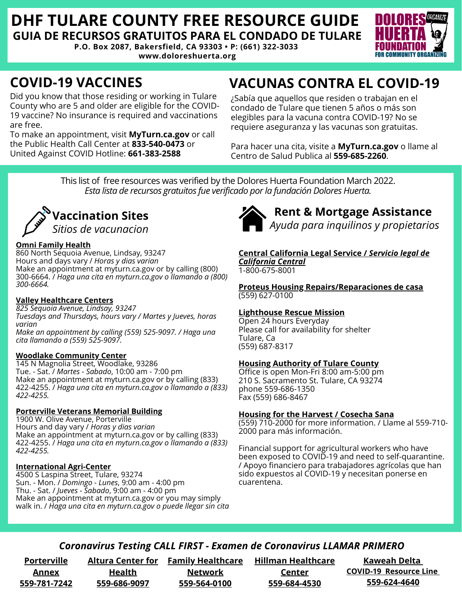# **DHF TULARE COUNTY FREE RESOURCE GUIDE GUIA DE RECURSOS GRATUITOS PARA EL CONDADO DE TULARE**

**P.O. Box 2087, Bakersfield, CA 93303 • P: (661) 322-3033 www.doloreshuerta.org**



Did you know that those residing or working in Tulare County who are 5 and older are eligible for the COVID-19 vaccine? No insurance is required and vaccinations are free.

To make an appointment, visit **MyTurn.ca.gov** or call the Public Health Call Center at **833-540-0473** or United Against COVID Hotline: **661-383-2588**

# **COVID-19 VACCINES VACUNAS CONTRA EL COVID-19**

¿Sabía que aquellos que residen o trabajan en el condado de Tulare que tienen 5 años o más son elegibles para la vacuna contra COVID-19? No se requiere aseguranza y las vacunas son gratuitas.

Para hacer una cita, visite a **MyTurn.ca.gov** o llame al Centro de Salud Publica al **559-685-2260**.

This list of free resources was verified by the Dolores Huerta Foundation March 2022. *Esta lista de recursos gratuitos fue verificado porla fundación Dolores Huerta.*



### **Omni Family Health**

860 North Sequoia Avenue, Lindsay, 93247 Hours and days vary / *Horas y dias varian* Make an appointment at myturn.ca.gov or by calling (800) 300-6664. / *Haga una cita en myturn.ca.gov o llamando a (800) 300-6664.*

### **Valley Healthcare Centers**

*825 Sequoia Avenue, Lindsay, 93247 Tuesdays and Thursdays, hours vary / Martes y Jueves, horas varian*

*Make an appointment by calling (559) 525-9097. / Haga una cita llamando a (559) 525-9097.*

### **Woodlake Community Center**

145 N Magnolia Street, Woodlake, 93286 Tue. - Sat. / *Martes - Sabado*, 10:00 am - 7:00 pm Make an appointment at myturn.ca.gov or by calling (833) 422-4255. / *Haga una cita en myturn.ca.gov o llamando a (833) 422-4255.*

### **Porterville Veterans Memorial Building**

1900 W. Olive Avenue, Porterville Hours and day vary / *Horas y dias varian* Make an appointment at myturn.ca.gov or by calling (833) 422-4255. / *Haga una cita en myturn.ca.gov o llamando a (833) 422-4255.*

### **International Agri-Center**

4500 S Laspina Street, Tulare, 93274 Sun. - Mon. / *Domingo - Lunes*, 9:00 am - 4:00 pm Thu. - Sat. / *Jueves - Sabado*, 9:00 am - 4:00 pm Make an appointment at myturn.ca.gov or you may simply walk in. / *Haga una cita en myturn.ca.gov o puede llegar sin cita*



# **Rent & Mortgage Assistance**

*Ayuda para inquilinos y propietarios*

**Central California Legal Service /** *Servicio legal de California Central*

1-800-675-8001

**Proteus Housing Repairs/Reparaciones de casa** (559) 627-0100

### **Lighthouse Rescue Mission**

Open 24 hours Everyday Please call for availability for shelter Tulare, Ca (559) 687-8317

### **Housing Authority of Tulare County**

Office is open Mon-Fri 8:00 am-5:00 pm 210 S. Sacramento St. Tulare, CA 93274 phone 559-686-1350 Fax (559) 686-8467

### **Housing for the Harvest / Cosecha Sana**

(559) 710-2000 for more information. / Llame al 559-710- 2000 para más información.

Financial support for agricultural workers who have been exposed to COVID-19 and need to self-quarantine. / Apoyo financiero para trabajadores agrícolas que han sido expuestos al COVID-19 y necesitan ponerse en cuarentena.

## *Coronavirus Testing CALL FIRST - Examen de Coronavirus LLAMAR PRIMERO*

**Porterville Annex 559-781-7242**

**Health 559-686-9097**

**Altura Center for Family Healthcare Network 559-564-0100**

**Hillman Healthcare Center 559-684-4530**

**Kaweah Delta COVID-19 Resource Line 559-624-4640**